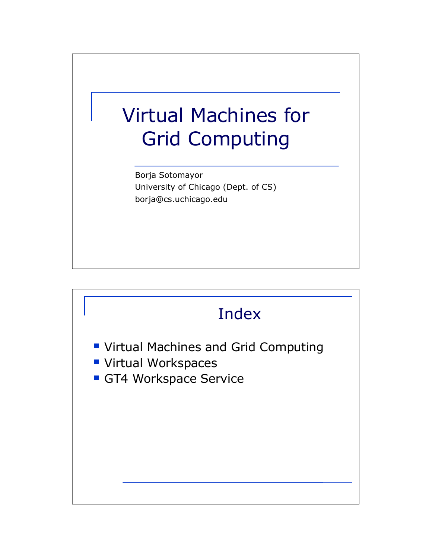## Virtual Machines for Grid Computing

Borja Sotomayor University of Chicago (Dept. of CS) borja@cs.uchicago.edu

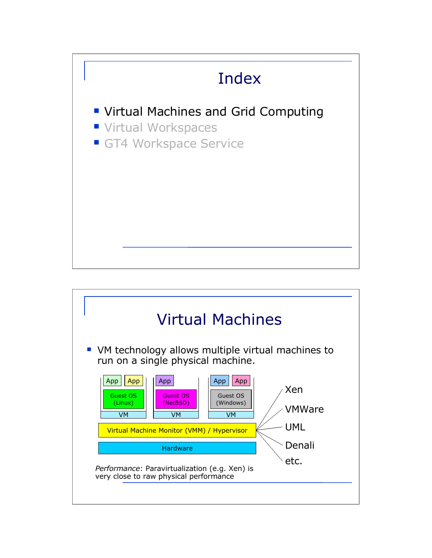

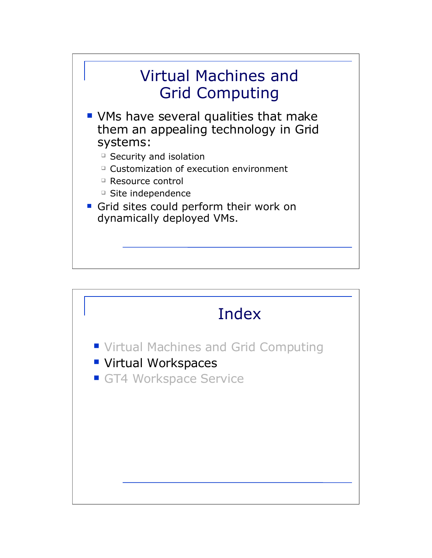

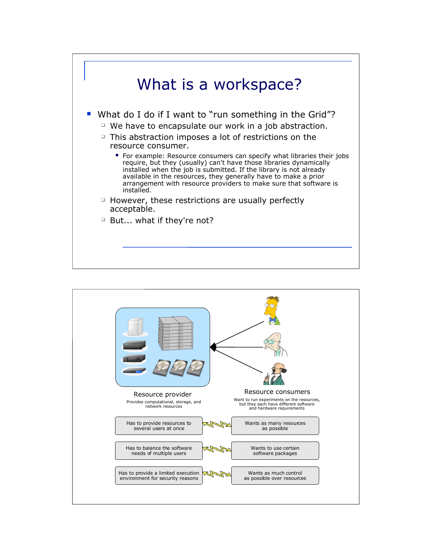

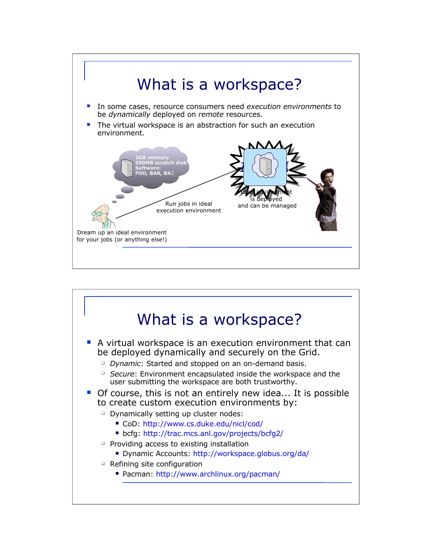

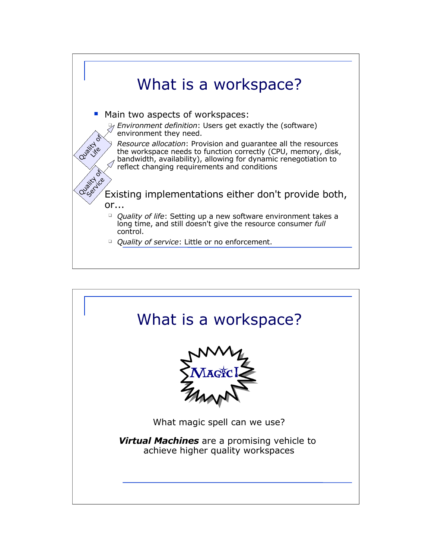

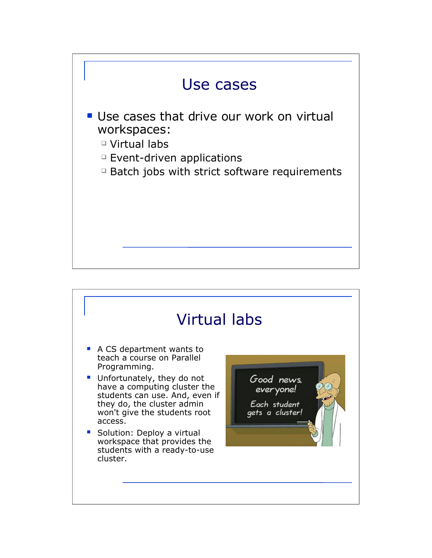

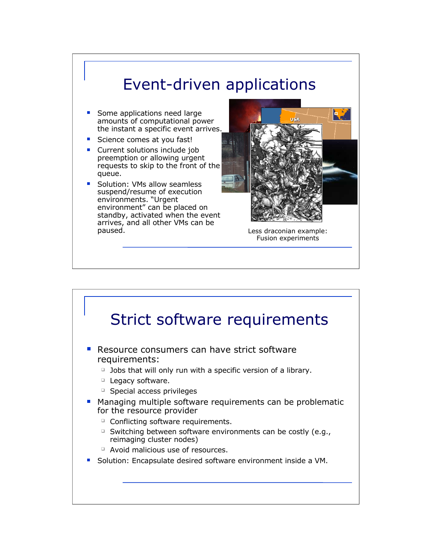

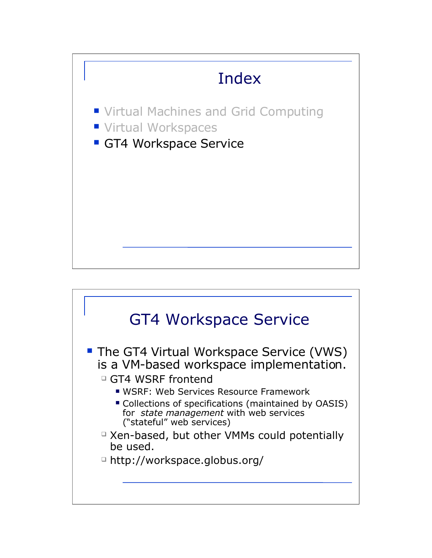

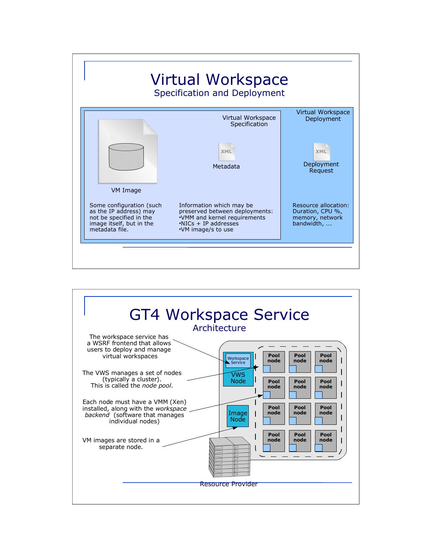

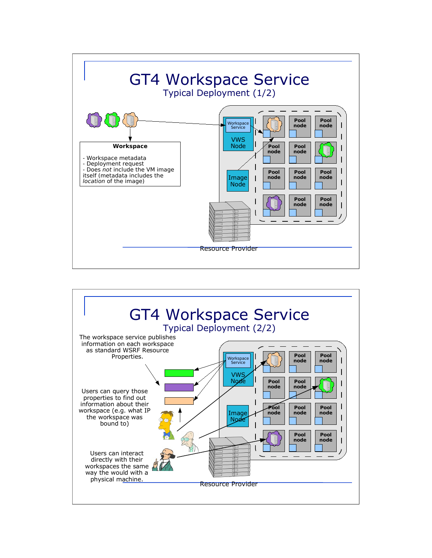

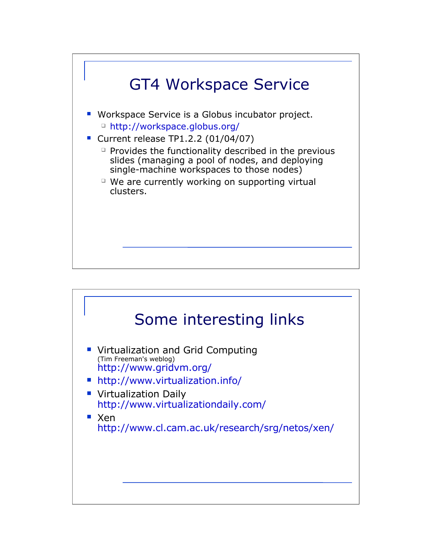